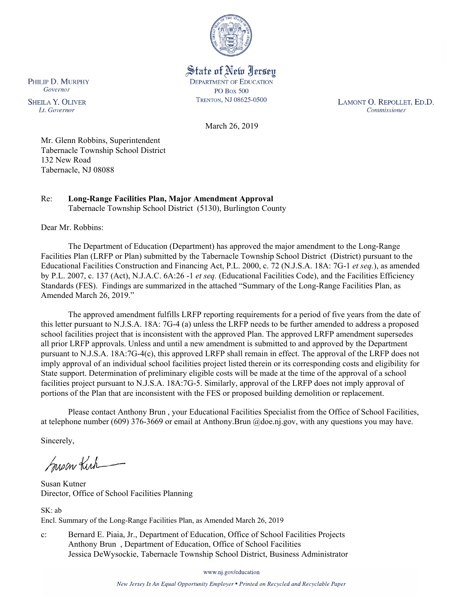

State of New Jersey **DEPARTMENT OF EDUCATION PO Box 500** TRENTON, NJ 08625-0500

LAMONT O. REPOLLET, ED.D. Commissioner

March 26, 2019

Mr. Glenn Robbins, Superintendent Tabernacle Township School District 132 New Road Tabernacle, NJ 08088

#### Re: **Long-Range Facilities Plan, Major Amendment Approval** Tabernacle Township School District (5130), Burlington County

Dear Mr. Robbins:

The Department of Education (Department) has approved the major amendment to the Long-Range Facilities Plan (LRFP or Plan) submitted by the Tabernacle Township School District (District) pursuant to the Educational Facilities Construction and Financing Act, P.L. 2000, c. 72 (N.J.S.A. 18A: 7G-1 *et seq.*), as amended by P.L. 2007, c. 137 (Act), N.J.A.C. 6A:26 -1 *et seq.* (Educational Facilities Code), and the Facilities Efficiency Standards (FES). Findings are summarized in the attached "Summary of the Long-Range Facilities Plan, as Amended March 26, 2019."

The approved amendment fulfills LRFP reporting requirements for a period of five years from the date of this letter pursuant to N.J.S.A. 18A: 7G-4 (a) unless the LRFP needs to be further amended to address a proposed school facilities project that is inconsistent with the approved Plan. The approved LRFP amendment supersedes all prior LRFP approvals. Unless and until a new amendment is submitted to and approved by the Department pursuant to N.J.S.A. 18A:7G-4(c), this approved LRFP shall remain in effect. The approval of the LRFP does not imply approval of an individual school facilities project listed therein or its corresponding costs and eligibility for State support. Determination of preliminary eligible costs will be made at the time of the approval of a school facilities project pursuant to N.J.S.A. 18A:7G-5. Similarly, approval of the LRFP does not imply approval of portions of the Plan that are inconsistent with the FES or proposed building demolition or replacement.

Please contact Anthony Brun , your Educational Facilities Specialist from the Office of School Facilities, at telephone number (609) 376-3669 or email at Anthony.Brun @doe.nj.gov, with any questions you may have.

Sincerely,

Susan Kich

Susan Kutner Director, Office of School Facilities Planning

SK: ab Encl. Summary of the Long-Range Facilities Plan, as Amended March 26, 2019

c: Bernard E. Piaia, Jr., Department of Education, Office of School Facilities Projects Anthony Brun , Department of Education, Office of School Facilities Jessica DeWysockie, Tabernacle Township School District, Business Administrator

www.nj.gov/education

New Jersey Is An Equal Opportunity Employer . Printed on Recycled and Recyclable Paper

PHILIP D. MURPHY Governor

**SHEILA Y. OLIVER** Lt. Governor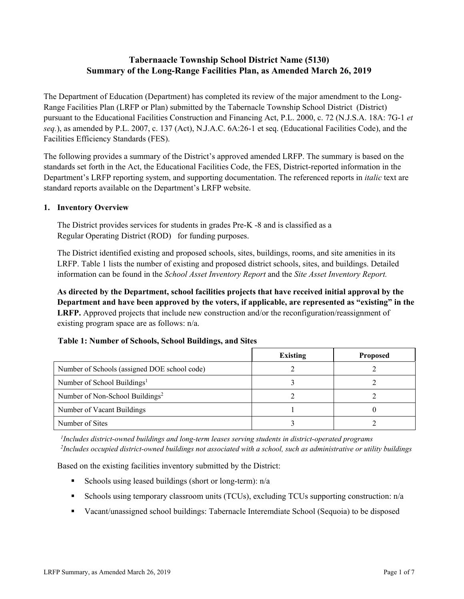# **Tabernaacle Township School District Name (5130) Summary of the Long-Range Facilities Plan, as Amended March 26, 2019**

The Department of Education (Department) has completed its review of the major amendment to the Long-Range Facilities Plan (LRFP or Plan) submitted by the Tabernacle Township School District (District) pursuant to the Educational Facilities Construction and Financing Act, P.L. 2000, c. 72 (N.J.S.A. 18A: 7G-1 *et seq.*), as amended by P.L. 2007, c. 137 (Act), N.J.A.C. 6A:26-1 et seq. (Educational Facilities Code), and the Facilities Efficiency Standards (FES).

The following provides a summary of the District's approved amended LRFP. The summary is based on the standards set forth in the Act, the Educational Facilities Code, the FES, District-reported information in the Department's LRFP reporting system, and supporting documentation. The referenced reports in *italic* text are standard reports available on the Department's LRFP website.

### **1. Inventory Overview**

The District provides services for students in grades Pre-K -8 and is classified as a Regular Operating District (ROD) for funding purposes.

The District identified existing and proposed schools, sites, buildings, rooms, and site amenities in its LRFP. Table 1 lists the number of existing and proposed district schools, sites, and buildings. Detailed information can be found in the *School Asset Inventory Report* and the *Site Asset Inventory Report.*

**As directed by the Department, school facilities projects that have received initial approval by the Department and have been approved by the voters, if applicable, are represented as "existing" in the LRFP.** Approved projects that include new construction and/or the reconfiguration/reassignment of existing program space are as follows: n/a.

### **Table 1: Number of Schools, School Buildings, and Sites**

|                                              | <b>Existing</b> | <b>Proposed</b> |
|----------------------------------------------|-----------------|-----------------|
| Number of Schools (assigned DOE school code) |                 |                 |
| Number of School Buildings <sup>1</sup>      |                 |                 |
| Number of Non-School Buildings <sup>2</sup>  |                 |                 |
| Number of Vacant Buildings                   |                 |                 |
| Number of Sites                              |                 |                 |

*1 Includes district-owned buildings and long-term leases serving students in district-operated programs 2 Includes occupied district-owned buildings not associated with a school, such as administrative or utility buildings*

Based on the existing facilities inventory submitted by the District:

- Schools using leased buildings (short or long-term):  $n/a$
- Schools using temporary classroom units (TCUs), excluding TCUs supporting construction: n/a
- Vacant/unassigned school buildings: Tabernacle Interemdiate School (Sequoia) to be disposed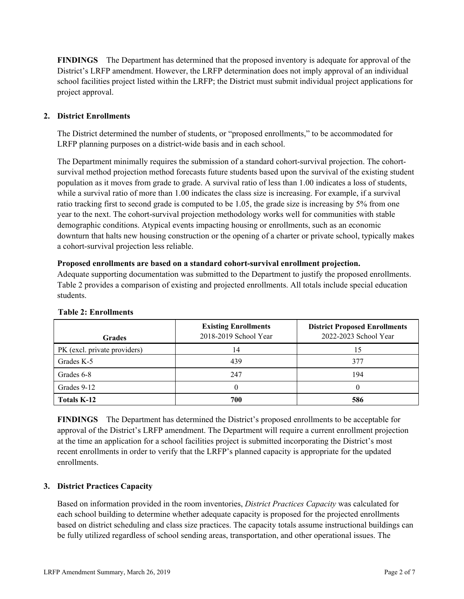**FINDINGS** The Department has determined that the proposed inventory is adequate for approval of the District's LRFP amendment. However, the LRFP determination does not imply approval of an individual school facilities project listed within the LRFP; the District must submit individual project applications for project approval.

## **2. District Enrollments**

The District determined the number of students, or "proposed enrollments," to be accommodated for LRFP planning purposes on a district-wide basis and in each school.

The Department minimally requires the submission of a standard cohort-survival projection. The cohortsurvival method projection method forecasts future students based upon the survival of the existing student population as it moves from grade to grade. A survival ratio of less than 1.00 indicates a loss of students, while a survival ratio of more than 1.00 indicates the class size is increasing. For example, if a survival ratio tracking first to second grade is computed to be 1.05, the grade size is increasing by 5% from one year to the next. The cohort-survival projection methodology works well for communities with stable demographic conditions. Atypical events impacting housing or enrollments, such as an economic downturn that halts new housing construction or the opening of a charter or private school, typically makes a cohort-survival projection less reliable.

#### **Proposed enrollments are based on a standard cohort-survival enrollment projection.**

Adequate supporting documentation was submitted to the Department to justify the proposed enrollments. Table 2 provides a comparison of existing and projected enrollments. All totals include special education students.

| <b>Grades</b>                | <b>Existing Enrollments</b><br>2018-2019 School Year | <b>District Proposed Enrollments</b><br>2022-2023 School Year |
|------------------------------|------------------------------------------------------|---------------------------------------------------------------|
| PK (excl. private providers) | 14                                                   | 15                                                            |
| Grades K-5                   | 439                                                  | 377                                                           |
| Grades 6-8                   | 247                                                  | 194                                                           |
| Grades 9-12                  |                                                      |                                                               |
| Totals K-12                  | 700                                                  | 586                                                           |

#### **Table 2: Enrollments**

**FINDINGS** The Department has determined the District's proposed enrollments to be acceptable for approval of the District's LRFP amendment. The Department will require a current enrollment projection at the time an application for a school facilities project is submitted incorporating the District's most recent enrollments in order to verify that the LRFP's planned capacity is appropriate for the updated enrollments.

## **3. District Practices Capacity**

Based on information provided in the room inventories, *District Practices Capacity* was calculated for each school building to determine whether adequate capacity is proposed for the projected enrollments based on district scheduling and class size practices. The capacity totals assume instructional buildings can be fully utilized regardless of school sending areas, transportation, and other operational issues. The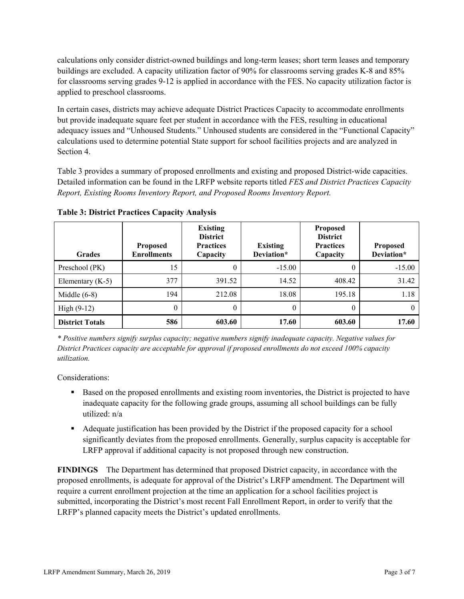calculations only consider district-owned buildings and long-term leases; short term leases and temporary buildings are excluded. A capacity utilization factor of 90% for classrooms serving grades K-8 and 85% for classrooms serving grades 9-12 is applied in accordance with the FES. No capacity utilization factor is applied to preschool classrooms.

In certain cases, districts may achieve adequate District Practices Capacity to accommodate enrollments but provide inadequate square feet per student in accordance with the FES, resulting in educational adequacy issues and "Unhoused Students." Unhoused students are considered in the "Functional Capacity" calculations used to determine potential State support for school facilities projects and are analyzed in Section 4.

Table 3 provides a summary of proposed enrollments and existing and proposed District-wide capacities. Detailed information can be found in the LRFP website reports titled *FES and District Practices Capacity Report, Existing Rooms Inventory Report, and Proposed Rooms Inventory Report.*

| <b>Grades</b>          | <b>Proposed</b><br><b>Enrollments</b> | <b>Existing</b><br><b>District</b><br><b>Practices</b><br>Capacity | <b>Existing</b><br>Deviation* | <b>Proposed</b><br><b>District</b><br><b>Practices</b><br>Capacity | <b>Proposed</b><br>Deviation* |
|------------------------|---------------------------------------|--------------------------------------------------------------------|-------------------------------|--------------------------------------------------------------------|-------------------------------|
| Preschool (PK)         | 15                                    | 0                                                                  | $-15.00$                      | 0                                                                  | $-15.00$                      |
| Elementary $(K-5)$     | 377                                   | 391.52                                                             | 14.52                         | 408.42                                                             | 31.42                         |
| Middle $(6-8)$         | 194                                   | 212.08                                                             | 18.08                         | 195.18                                                             | 1.18                          |
| High $(9-12)$          | $\theta$                              | $\theta$                                                           | 0                             | $\theta$                                                           |                               |
| <b>District Totals</b> | 586                                   | 603.60                                                             | 17.60                         | 603.60                                                             | 17.60                         |

**Table 3: District Practices Capacity Analysis**

*\* Positive numbers signify surplus capacity; negative numbers signify inadequate capacity. Negative values for District Practices capacity are acceptable for approval if proposed enrollments do not exceed 100% capacity utilization.*

Considerations:

- Based on the proposed enrollments and existing room inventories, the District is projected to have inadequate capacity for the following grade groups, assuming all school buildings can be fully utilized: n/a
- Adequate justification has been provided by the District if the proposed capacity for a school significantly deviates from the proposed enrollments. Generally, surplus capacity is acceptable for LRFP approval if additional capacity is not proposed through new construction.

**FINDINGS**The Department has determined that proposed District capacity, in accordance with the proposed enrollments, is adequate for approval of the District's LRFP amendment. The Department will require a current enrollment projection at the time an application for a school facilities project is submitted, incorporating the District's most recent Fall Enrollment Report, in order to verify that the LRFP's planned capacity meets the District's updated enrollments.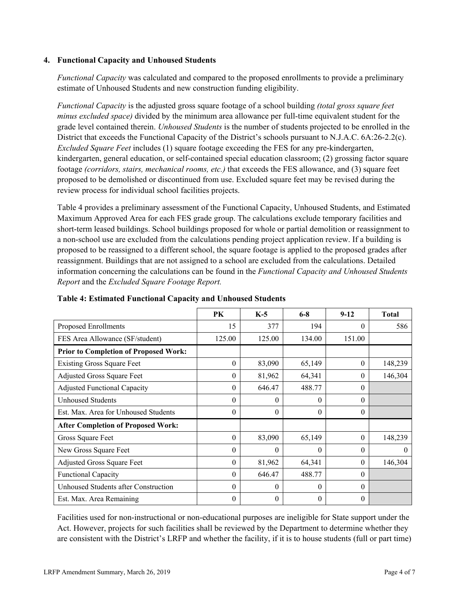### **4. Functional Capacity and Unhoused Students**

*Functional Capacity* was calculated and compared to the proposed enrollments to provide a preliminary estimate of Unhoused Students and new construction funding eligibility.

*Functional Capacity* is the adjusted gross square footage of a school building *(total gross square feet minus excluded space)* divided by the minimum area allowance per full-time equivalent student for the grade level contained therein. *Unhoused Students* is the number of students projected to be enrolled in the District that exceeds the Functional Capacity of the District's schools pursuant to N.J.A.C. 6A:26-2.2(c). *Excluded Square Feet* includes (1) square footage exceeding the FES for any pre-kindergarten, kindergarten, general education, or self-contained special education classroom; (2) grossing factor square footage *(corridors, stairs, mechanical rooms, etc.)* that exceeds the FES allowance, and (3) square feet proposed to be demolished or discontinued from use. Excluded square feet may be revised during the review process for individual school facilities projects.

Table 4 provides a preliminary assessment of the Functional Capacity, Unhoused Students, and Estimated Maximum Approved Area for each FES grade group. The calculations exclude temporary facilities and short-term leased buildings. School buildings proposed for whole or partial demolition or reassignment to a non-school use are excluded from the calculations pending project application review. If a building is proposed to be reassigned to a different school, the square footage is applied to the proposed grades after reassignment. Buildings that are not assigned to a school are excluded from the calculations. Detailed information concerning the calculations can be found in the *Functional Capacity and Unhoused Students Report* and the *Excluded Square Footage Report.*

|                                              | PK       | $K-5$    | $6 - 8$  | $9-12$       | <b>Total</b> |
|----------------------------------------------|----------|----------|----------|--------------|--------------|
| Proposed Enrollments                         | 15       | 377      | 194      | 0            | 586          |
| FES Area Allowance (SF/student)              | 125.00   | 125.00   | 134.00   | 151.00       |              |
| <b>Prior to Completion of Proposed Work:</b> |          |          |          |              |              |
| <b>Existing Gross Square Feet</b>            | 0        | 83,090   | 65,149   | $\mathbf{0}$ | 148,239      |
| Adjusted Gross Square Feet                   | $\theta$ | 81,962   | 64,341   | $\theta$     | 146,304      |
| <b>Adjusted Functional Capacity</b>          | 0        | 646.47   | 488.77   | $\Omega$     |              |
| <b>Unhoused Students</b>                     | 0        | $\theta$ | 0        | $\theta$     |              |
| Est. Max. Area for Unhoused Students         | $\theta$ | $\theta$ | $\theta$ | $\theta$     |              |
| <b>After Completion of Proposed Work:</b>    |          |          |          |              |              |
| Gross Square Feet                            | $\theta$ | 83,090   | 65,149   | $\theta$     | 148,239      |
| New Gross Square Feet                        | 0        | $\theta$ | $\theta$ | $\theta$     | $\theta$     |
| Adjusted Gross Square Feet                   | 0        | 81,962   | 64,341   | $\Omega$     | 146,304      |
| <b>Functional Capacity</b>                   | $\theta$ | 646.47   | 488.77   | $\theta$     |              |
| Unhoused Students after Construction         | 0        | $\theta$ | $\Omega$ | $\Omega$     |              |
| Est. Max. Area Remaining                     | 0        | $\theta$ | $\theta$ | $\theta$     |              |

**Table 4: Estimated Functional Capacity and Unhoused Students** 

Facilities used for non-instructional or non-educational purposes are ineligible for State support under the Act. However, projects for such facilities shall be reviewed by the Department to determine whether they are consistent with the District's LRFP and whether the facility, if it is to house students (full or part time)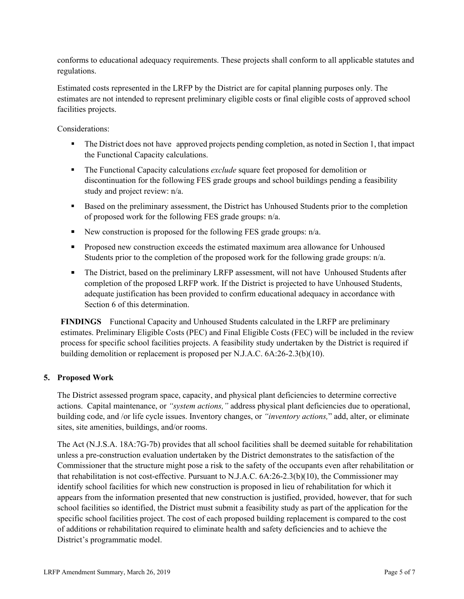conforms to educational adequacy requirements. These projects shall conform to all applicable statutes and regulations.

Estimated costs represented in the LRFP by the District are for capital planning purposes only. The estimates are not intended to represent preliminary eligible costs or final eligible costs of approved school facilities projects.

Considerations:

- The District does not have approved projects pending completion, as noted in Section 1, that impact the Functional Capacity calculations.
- The Functional Capacity calculations *exclude* square feet proposed for demolition or discontinuation for the following FES grade groups and school buildings pending a feasibility study and project review: n/a.
- Based on the preliminary assessment, the District has Unhoused Students prior to the completion of proposed work for the following FES grade groups: n/a.
- New construction is proposed for the following FES grade groups:  $n/a$ .
- **Proposed new construction exceeds the estimated maximum area allowance for Unhoused** Students prior to the completion of the proposed work for the following grade groups: n/a.
- The District, based on the preliminary LRFP assessment, will not have Unhoused Students after completion of the proposed LRFP work. If the District is projected to have Unhoused Students, adequate justification has been provided to confirm educational adequacy in accordance with Section 6 of this determination.

**FINDINGS** Functional Capacity and Unhoused Students calculated in the LRFP are preliminary estimates. Preliminary Eligible Costs (PEC) and Final Eligible Costs (FEC) will be included in the review process for specific school facilities projects. A feasibility study undertaken by the District is required if building demolition or replacement is proposed per N.J.A.C. 6A:26-2.3(b)(10).

## **5. Proposed Work**

The District assessed program space, capacity, and physical plant deficiencies to determine corrective actions. Capital maintenance, or *"system actions,"* address physical plant deficiencies due to operational, building code, and /or life cycle issues. Inventory changes, or *"inventory actions,*" add, alter, or eliminate sites, site amenities, buildings, and/or rooms.

The Act (N.J.S.A. 18A:7G-7b) provides that all school facilities shall be deemed suitable for rehabilitation unless a pre-construction evaluation undertaken by the District demonstrates to the satisfaction of the Commissioner that the structure might pose a risk to the safety of the occupants even after rehabilitation or that rehabilitation is not cost-effective. Pursuant to N.J.A.C. 6A:26-2.3(b)(10), the Commissioner may identify school facilities for which new construction is proposed in lieu of rehabilitation for which it appears from the information presented that new construction is justified, provided, however, that for such school facilities so identified, the District must submit a feasibility study as part of the application for the specific school facilities project. The cost of each proposed building replacement is compared to the cost of additions or rehabilitation required to eliminate health and safety deficiencies and to achieve the District's programmatic model.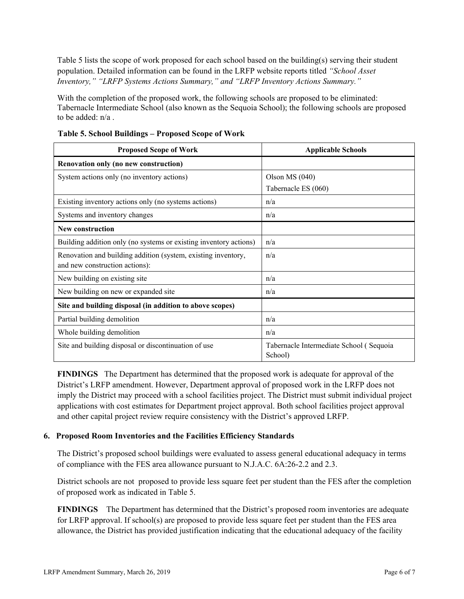Table 5 lists the scope of work proposed for each school based on the building(s) serving their student population. Detailed information can be found in the LRFP website reports titled *"School Asset Inventory," "LRFP Systems Actions Summary," and "LRFP Inventory Actions Summary."*

With the completion of the proposed work, the following schools are proposed to be eliminated: Tabernacle Intermediate School (also known as the Sequoia School); the following schools are proposed to be added: n/a .

| <b>Proposed Scope of Work</b>                                                                   | <b>Applicable Schools</b>                          |
|-------------------------------------------------------------------------------------------------|----------------------------------------------------|
| Renovation only (no new construction)                                                           |                                                    |
| System actions only (no inventory actions)                                                      | Olson $MS(040)$                                    |
|                                                                                                 | Tabernacle ES (060)                                |
| Existing inventory actions only (no systems actions)                                            | n/a                                                |
| Systems and inventory changes                                                                   | n/a                                                |
| New construction                                                                                |                                                    |
| Building addition only (no systems or existing inventory actions)                               | n/a                                                |
| Renovation and building addition (system, existing inventory,<br>and new construction actions): | n/a                                                |
| New building on existing site                                                                   | n/a                                                |
| New building on new or expanded site                                                            | n/a                                                |
| Site and building disposal (in addition to above scopes)                                        |                                                    |
| Partial building demolition                                                                     | n/a                                                |
| Whole building demolition                                                                       | n/a                                                |
| Site and building disposal or discontinuation of use                                            | Tabernacle Intermediate School (Sequoia<br>School) |

### **Table 5. School Buildings – Proposed Scope of Work**

**FINDINGS** The Department has determined that the proposed work is adequate for approval of the District's LRFP amendment. However, Department approval of proposed work in the LRFP does not imply the District may proceed with a school facilities project. The District must submit individual project applications with cost estimates for Department project approval. Both school facilities project approval and other capital project review require consistency with the District's approved LRFP.

## **6. Proposed Room Inventories and the Facilities Efficiency Standards**

The District's proposed school buildings were evaluated to assess general educational adequacy in terms of compliance with the FES area allowance pursuant to N.J.A.C. 6A:26-2.2 and 2.3.

District schools are not proposed to provide less square feet per student than the FES after the completion of proposed work as indicated in Table 5.

**FINDINGS** The Department has determined that the District's proposed room inventories are adequate for LRFP approval. If school(s) are proposed to provide less square feet per student than the FES area allowance, the District has provided justification indicating that the educational adequacy of the facility